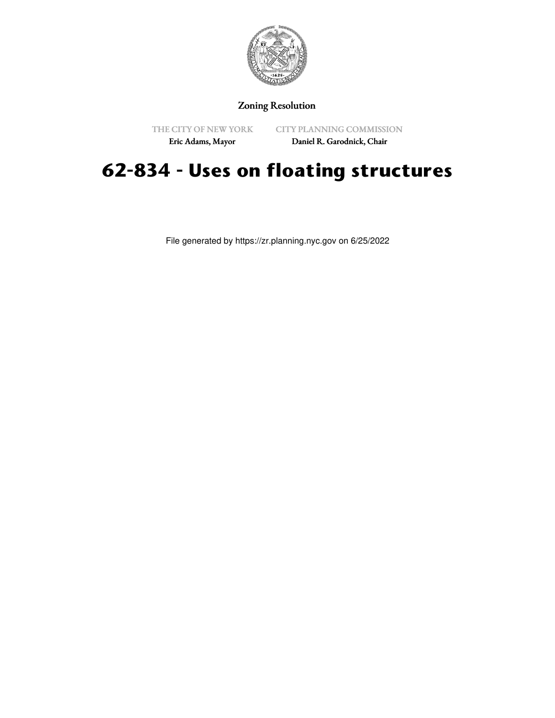

## Zoning Resolution

THE CITY OF NEW YORK

CITY PLANNING COMMISSION

Eric Adams, Mayor

Daniel R. Garodnick, Chair

## **62-834 - Uses on floating structures**

File generated by https://zr.planning.nyc.gov on 6/25/2022